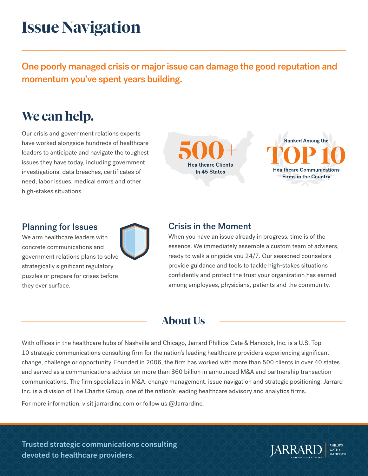# **Issue Navigation**

One poorly managed crisis or major issue can damage the good reputation and momentum you've spent years building.

# **We can help.**

Our crisis and government relations experts have worked alongside hundreds of healthcare leaders to anticipate and navigate the toughest issues they have today, including government investigations, data breaches, certificates of need, labor issues, medical errors and other high-stakes situations.

**Healthcare Clients** In 45 States



### Planning for Issues

We arm healthcare leaders with concrete communications and government relations plans to solve strategically significant regulatory puzzles or prepare for crises before they ever surface.



When you have an issue already in progress, time is of the essence. We immediately assemble a custom team of advisers, ready to walk alongside you 24/7. Our seasoned counselors provide guidance and tools to tackle high-stakes situations confidently and protect the trust your organization has earned among employees, physicians, patients and the community.

# **About Us**

With offices in the healthcare hubs of Nashville and Chicago, Jarrard Phillips Cate & Hancock, Inc. is a U.S. Top 10 strategic communications consulting firm for the nation's leading healthcare providers experiencing significant change, challenge or opportunity. Founded in 2006, the firm has worked with more than 500 clients in over 40 states and served as a communications advisor on more than \$60 billion in announced M&A and partnership transaction communications. The firm specializes in M&A, change management, issue navigation and strategic positioning. Jarrard Inc. is a division of The Chartis Group, one of the nation's leading healthcare advisory and analytics firms.

For more information, visit jarrardinc.com or follow us @JarrardInc.

Trusted strategic communications consulting devoted to healthcare providers.